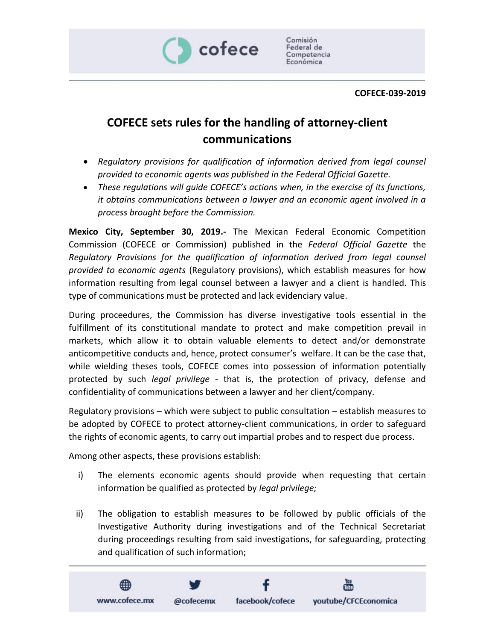

Comisión Federal de Competencia Económica

## **COFECE-039-2019**

## **COFECE sets rules for the handling of attorney-client communications**

- *Regulatory provisions for qualification of information derived from legal counsel provided to economic agents was published in the Federal Official Gazette.*
- *These regulations will guide COFECE's actions when, in the exercise of its functions, it obtains communications between a lawyer and an economic agent involved in a process brought before the Commission.*

**Mexico City, September 30, 2019.-** The Mexican Federal Economic Competition Commission (COFECE or Commission) published in the *Federal Official Gazette* the *Regulatory Provisions for the qualification of information derived from legal counsel provided to economic agents* (Regulatory provisions), which establish measures for how information resulting from legal counsel between a lawyer and a client is handled. This type of communications must be protected and lack evidenciary value.

During proceedures, the Commission has diverse investigative tools essential in the fulfillment of its constitutional mandate to protect and make competition prevail in markets, which allow it to obtain valuable elements to detect and/or demonstrate anticompetitive conducts and, hence, protect consumer's welfare. It can be the case that, while wielding theses tools, COFECE comes into possession of information potentially protected by such *legal privilege* - that is, the protection of privacy, defense and confidentiality of communications between a lawyer and her client/company.

Regulatory provisions – which were subject to public consultation – establish measures to be adopted by COFECE to protect attorney-client communications, in order to safeguard the rights of economic agents, to carry out impartial probes and to respect due process.

Among other aspects, these provisions establish:

- i) The elements economic agents should provide when requesting that certain information be qualified as protected by *legal privilege;*
- ii) The obligation to establish measures to be followed by public officials of the Investigative Authority during investigations and of the Technical Secretariat during proceedings resulting from said investigations, for safeguarding, protecting and qualification of such information;